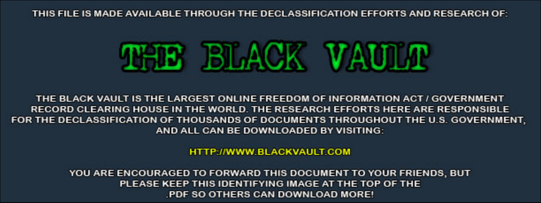THIS FILE IS MADE AVAILABLE THROUGH THE DECLASSIFICATION EFFORTS AND RESEARCH OF:



THE BLACK VAULT IS THE LARGEST ONLINE FREEDOM OF INFORMATION ACT / GOVERNMENT RECORD CLEARING HOUSE IN THE WORLD. THE RESEARCH EFFORTS HERE ARE RESPONSIBLE FOR THE DECLASSIFICATION OF THOUSANDS OF DOCUMENTS THROUGHOUT THE U.S. GOVERNMENT, AND ALL CAN BE DOWNLOADED BY VISITING:

**HTTP://WWW.BLACKVAULT.COM** 

YOU ARE ENCOURAGED TO FORWARD THIS DOCUMENT TO YOUR FRIENDS, BUT PLEASE KEEP THIS IDENTIFYING IMAGE AT THE TOP OF THE PDF SO OTHERS CAN DOWNLOAD MORE!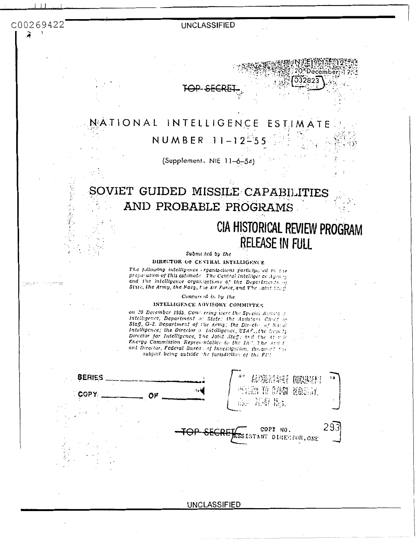C00269422

gasar mgang

### **UNCLASSIFIED**

# TAP-SF

#### NATIONAL INTELLIGENCE ESTIMATE NUMBER  $11 - 12 = 5$

(Supplement, NIE 11-6-54)

# SOVIET GUIDED MISSILE CAPABILITIES AND PROBABLE PROGRAMS

# CIA HISTORICAL REVIEW PROGRAM **RELEASE IN FULL**

032823

#### Submitted by the

DIRECTOR OF CENTRAL INTELLIGENCE

The following intelligence erganizations participabel in the preparation of this estimate. The Central Intelligence dyen  $\gamma$ and the intelligence organizations of the Departments of State, the Army, the Navy, the Air Force, and The Loint Step

Concurred in by the

#### INTELLIGENCE ADVISORY COMMITTES

on 20 December 1955. Concurring foers the Special Assistant Intelligence, Department of State; the Assistant Chief of Staff, G-2, Department of the Army; the Director of Natal Intelligence; the Director of Intelligence, USAF, the Deputy Director for Intelligence, The Joint Stag; and the Alertic Energy Commission Representative to the IAC, The assist ant Director, Federal Burea : of Investigation, 10s.abset the subject being outside the jurisdiction of the Fift

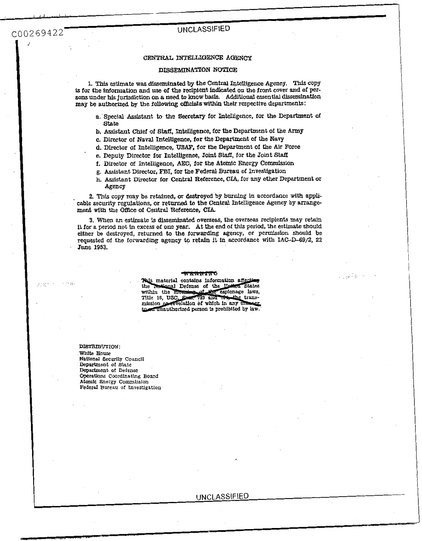C00269422

 $31232$ 

<sup>I</sup>.I (.,, -. .,

### **UNCLASSIFIED**

#### CENTRAL **INTELLIGENCE AGENCY**

#### **DISSEMINATION NOTICE**

**1.** This estimate **was** disseminated by the *Central* Intelligence Agency. *Thfs* copy is for the information and use of the recipient indicated on the front cover and of per**sons** under **his** jurisdiction on a need *to* **know** basis. Additional essential dlsseminatfon **may** be authorized by the **following** *of3cials* **within** their respective departments:

- *a.* 'Special Assistant **to** the Secretary for Intelligence, **for** the Department **of State**
- **b.** Assistant Chief of Staff, Intelligence, for the Department of the Army
- c. Director **of Naval** Intelligence, **for** the Department **of** the Navy
- **d. Director** of Intelligence, **USAF, for** the Department of the Air Force
- e. Deputy Director **for** InkUgence, Joint **Stafl,** for the Joint **Staff**
- **f.** Director of Intelligence, *AEC,* **for** the Atomic Energy **Commission**
- **g.** Assistant Director, **FBI, for** the **Federal Bureau of** Investigation
- h. Assistant Director **for** Central Reference, CIA, for any other Department or Agency

2. This copy may be retained, or destroyed by burning in accordance with applicable security regulations, or returned *to* the **Central** Intelligence Agency by arrangement with the Office of Central Reference, CIA.

**3.** When **an** estimate **fs** disseminated overseas, the oversem recipients may retain **it** for a period not in excess of one year. At the **end** of this period, the **estimate** should either be destroyed, returned **to** the forwarding agency, or permission **should** be requested of the forwarding agency **to** retain it in accordance with **IAC-D-s9/2,** 22 . June **1953.** 

#### 

a <sub>a sh</sub>a Piperre

This material contains information affecting **Rational Defense of the United States** the within the meaning of the espionage of the espionage laws, transmission or revelation of which in any masser to an unauthorized person is prohibited by law.

**DIBTRIBUTION:**  *Whlte* **€rouse National Security Council** Department of state Department **of** Defense **OPeratIons** Coordinating **Board Abmlc** Energy Commksion **Federal** Bureau of Investigation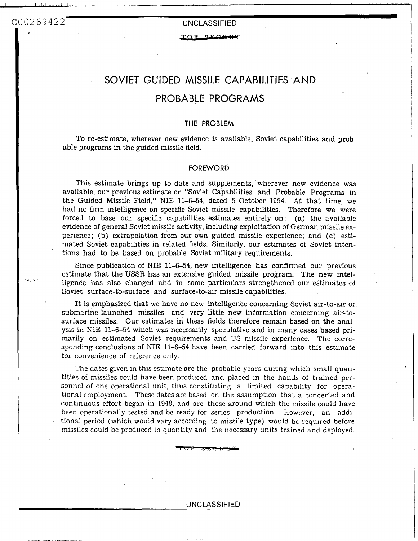. ... ~. . .

TOP SECRE

# SOVIET GUIDED MISSILE CAPABILITIES AND

## PROBABLE PROGRAMS

### **THE PROBLEM**

To re-estimate, wherever new evidence is available, Soviet capabilities and probable programs in the guided missile field.

#### FOREWORD

This estimate brings up to date and supplements, wherever new evidence was available, our previous estimate on "Soviet Capabilities and Probable Programs in the Guided Missile Field," **NIE** 11-6-54, dated 5 October 1954. At that time, we had no firm intelligence on specific Soviet missile capabilities. Therefore we were forced to base our specific capabilities estimates entirely on: (a) the available evidence of general Soviet missile activity, including exploitation of German missile **ex**perience; (b) extrapolation from our **own** guided missile experience; and (c) estimated Soviet capabilities in related fields. Similarly, our estimates of Soviet intentions had to be based on probable Soviet military requirements.

Since publication of **NIE** 11-6-54, new intelligence has confirmed our previous estimate that the **USSR** has an extensive guided missile program. The new intelligence has also changed and in some particulars strengthened our estimates of Soviet surface-to-surface and surface-to-air missile capabilities.

It is emphasized that we have no new intelligence concerning Soviet air-to-air or submarine-launched missiles, and very little new information concerning air-tosurface missiles. Our estimates in these fields therefore remain based on the analysis in NIE 11-6-54 which was necessarily speculative and in many cases based primarily on estimated Soviet requirements and US missile experience. The corresponding conclusions of NIE 11-6-54 have been carried forward into this estimate for convenience of reference only.

The dates given in this estimate are the probable years during which small quantities of missiles could have been produced and placed in the hands of trained personnel of one operational unit, thus constituting a limited capability for operational employment. These dates are based on the assumption that a concerted and continuous effort began in 1948, and are those around which the missile could have been operationally tested and be ready for series production. However, an additional period (which would vary according to missile type) would be required before missiles could be produced in quantity and the necessary units trained and deployed *x* the are the probable years during which small quan-<br>produced and placed in the hands of trained per-<br>nus constituting a limited capability for opera-<br>are based on the assumption that a concerted and<br>and are those arou

### UNCLASSIFIED \_.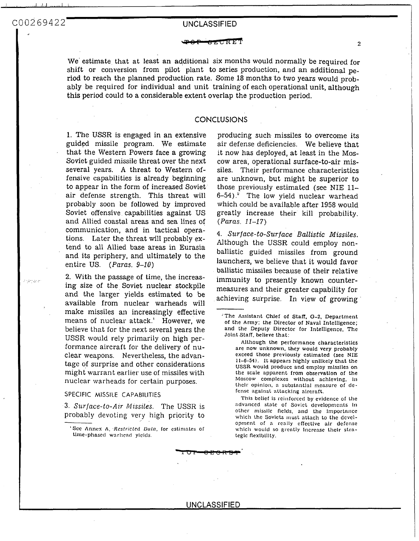... ... .,. . ..

- **2**  We' estimate that at least an additional six months would normally be required for shift or conversion from pilot plant to series production, and an additional period to reach the planned production rate. Some 18 months to two years would probably be required for individual and unit training of each operational unit, although this period could to a considerable extent overlap the production period.

### **CONCLUSIONS**

1. The **USSR** is engaged in an extensive guided missile program. We estimate that the Western Powers face a growing Soviet guided missile threat over the next several years. **A** threat to Western offensive capabilities is already beginning to appear in the form of increased Soviet air defense strength. This threat will probably soon be followed by improved Soviet offensive capabilities against US and Allied coastal areas and sea lines of communication, and in tactical operations. Later the threat will probably extend to all Allied base areas in Eurasia and its periphery, and ultimately to the entire US. *(Paras.* 9-10>

2. With the passage of time, the increasing size of the Soviet nuclear stockpile and the larger yields estimated to be available from nuclear warheads will make missiles an increasingly effective means of nuclear attack.' However, we believe that for the next several years the USSR would rely primarily on high performance aircraft for the delivery of nuclear weapons. Nevertheless, the advantage of surprise and other considerations might warrant earlier use of missiles with nuclear warheads for certain purposes.

SPECIFIC MISSILE CAPABILITIES

**3.** *SUTfaCe-tO-Atr Missiles.* The USSR is probably devoting very high priority to

producing such missiles to overcome its air defense deficiencies. We believe that it now has deployed, at least in the Moscow area, operational surface-to-air missiles. Their performance characteristics are unknown, but might be superior to those previously estimated (see NIE 11- 6-54).' The low yield nuclear warhead which could be available after 1958 would greatly increase their kill probability. *(Paras.* 11-17)

**4.** *Surface-to-Surface Ballistic Missiles.*  Although the **USSR** could employ nonballistic guided missiles from ground launchers, we believe that it would favor ballistic missiles because of their relative immunity to presently known countermeasures and their greater capability for achieving surprise. In view of growing

Although the performance characterlstlcs are now unknown. they would very probably exceed those previously estimated **(see** NIE 11-6-54). It appears hlghly unllkely that the **USSR** would produce and employ mlsslles on the scale apparent from observatlon of the Moscow complexes without achlevlng, **In**  thclr opinlon. a substnntlal mcnsure of **de**fcnsc agalnst nttacklng aircraft.

This belief is reinforced by evidence of thc advanced stalc of Soviet developments In other missile fields, and the Importance opment of **n** really cffectlve alr defense which would so grently increase their strateglc flexlblllty. which the Soviets must attach to the devel-

<sup>&#</sup>x27;see Anncx **A,** *Rcsfticfcd Octfa.* lor estinintcs of time-phased warhend yields.

The Assistant Chief of Staff, G-2, Department of the Army: the Director of Naval Intelllgence; and the Deputy Director for Intelligence, The Jolnt Staff, believe that: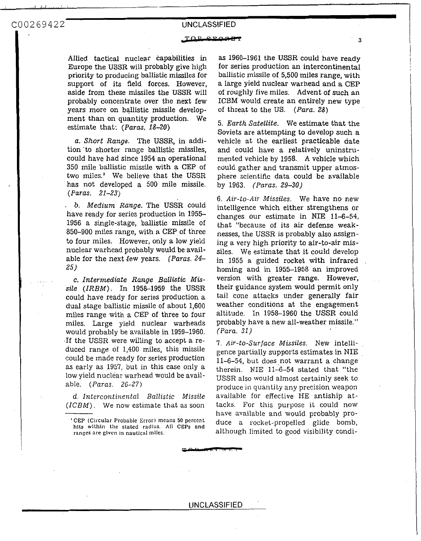يەتتەتەتەتەتلەردىنىڭ ئەلقىلىسىڭ قىتىمىتەت بىدىرە<u>ق بىر مەتىرات</u>

#### 

Allied tactical nuclear capabilities in Europe the **USSR** will probably give high priority to producing ballistic missiles for support of its field forces. However, aside from these missiles the USSR will probably concentrate over the next few years more on ballistic missile development than on quantity production. We estimate that: *(Paras. 18-20>* 

*a. Short Range.* The USSR, in addition 'to shorter range ballistic missiles, could have had since 1954 an operational 350 mile ballistic missile with a CEP of two miles.<sup>3</sup> We believe that the USSR has not developed a 500 mile missile. *(Paras. 21-23)* 

*b. Medium Range.* The USSR could have ready for series production in 1955- 1956 a single-stage, ballistic missile of 850-900 miles range, with a CEP **of** three to four miles. However, only a low yield nuclear warhead probably would be available for the next few years. *(Paras. 24*-*25)* 

**e.** *Intermediate Range Ballistic Missile (ZRBM).* In 1958-1959 the USSR could have ready for series production a dual stage ballistic missile of about 1,600 miles range with a CEP of three to four miles. Large yield nuclear warheads would probably be available in 1959-1960. .If the **USSR** were willing to accept a reduced range of 1,400 miles, this missile could be made ready for series production as early as 1957, but in this case only a low yield nuclear warhead would be available. *(Paras.* 26-27)

*d. Intercontinental Ballistic Missile (ICBM).* We now cstimate that as soon

as 1960-1961 the USSR could have ready for series production an intercontinental ballistic missile of 5,500 miles range, with a large yield nuclear warhead and a CEP of roughly five miles. Advent of such an ICBM would create an entirely new type of threat to the US. *(Para. 28)* 

**<sup>I</sup>**. .

**3** 

*5. Earth Satellite.* We estimate that the Soviets are attempting to develop such a vehicle at the earliest practicable date and could have a relatively uninstrumented vehicle by 1958. A vehicle which could gather and transmit upper atmosphere scientific data could be available by 1963. *(Paras. 29-30)* 

*6. Air-to-Air Missiles.* We have no new intelligence which either strengthens or changes our estimate in NIE 11-6-54, that "because of its air defense weaknesses, the USSR is probably also assigning a very high priority to air-to-air missiles. We estimate that it could develop in 1955 a guided rocket with infrared homing and in 1955-1958 an improved version with greater range. However, their guidance system would permit only tail cone attacks under generally fair weather conditions at the engagement altitude. In 1958-1960 the USSR could probably have a new all-weather missile." *(Para. 31)* 

*7. Air-to-Surface Missiles.* New intelligence par tially supports estimates in NIE  $11-6-54$ , but does not warrant a change therein. NIE 11-6-54 stated that "the USSR also would almost certainly seek to produce in quantity any precision weapon available for effective HE antiship attacks. For this purpose it could now have available and would probably produce a rocket-propelled glide bomb, although limited to good visibility condi-

<sup>&#</sup>x27; CEP (Circular **Probablc** Error) **mcnns** 50 percent hlta wlthln the **stntcd radlus.** 1\11 **CEPs and ranges are glvcn** in **nautlcal** mllcs.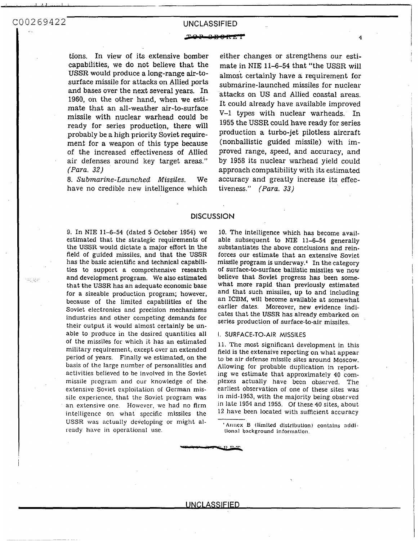.. .. .. ,.. ..

tions. In view of its exfensive bomber capabilities, we **do** not believe that the USSR would produce a long-range air-tosurface missile for attacks on Allied ports and bases over the next several years. In 1960, on the other hand, when we estimate that an all-weather air-to-surface missile with nuclear warhead could be ready for series production, there will probably be a high priority Soviet requirement for a weapon of this type because of the increased effectiveness of Allied air defenses around key target areas." *(Para.* **32)** 

8. *Submarine-Launched Missiles.* We have no credible new intelligence which

COO269422<br>
UNCLASSIFIED<br>
TOP SER SERVIED<br>
TOP SER SERVIER<br>
tions. In view of its extensive bomber<br>
capabilities, we do not believe that the<br>
USSR will<br>
USSR will<br>
USSR will<br>
USSR will<br>
USSR will<br>
SUSSR will<br>
SUSSR will<br>
SU either changes or strengthens our estimate in NIE 11-6-54 that "the **USSR** will almost certainly have a requirement **for**  submarine-launched missiles for nuclear attacks on US and Allied coastal areas. It could already have available improved V-1 types with nuclear warheads. In 1955 the **USSR** could have ready for series production a turbo-jet pilotless aircraft (nonballistic guided missile) with improved range, speed, and accuracy, and by 1958 its nuclear warhead yield could approach compatibility with its estimated accuracy and greatly increase its effectiveness." *(Para. 33)* 

### **DISCUSSION**

9. In NIE 11-6-54 (dated 5 October 1954) we estimated that the strategic requirements of the **USSR** would dictate a major effort in the field of guided missiles, and that the **USSR**  has the basic scientific and technical capabilities to support a comprehensive research and development program. We also estimated that the USSR has an adequatc economic base **for** a sizeable production program; however, because of the limited capabilities of the Soviet electronics and precision mechanisms industries and other competing demands **for**  their output it would almost certainly be unable to produce in the desired quantities all *of* the missiles for which it has an estimated military requirement, except over an extended period of years. Finally we estimated, on the basis of the large number of personalities and activities believed to be involved in the Soviet missile program and our knowledge of the. extensivc Soviet exploitation of German missile experience, that the Soviet program was an extensive one. However, we had no firm intelligence on what specific missiles the **USSR** was actually developing or might already have in operational use.

10. The intelligence which has become available subsequent to **NE** 11-6-54 generally substantiates the above conclusions and reinforces our estimate that an extensive Soviet missile program is underway.' In the category **of** surface-to-surface ballistic missiles we now believe that Soviet progress **has** been somewhat more rapid than previously estimated and that such missiles, up to and including an ICBM, will become available at somewhat earlier dates. Moreover, new evidence indicates that the USSR has already embarked on series production of surface-to-air missiles.

#### **I. SURFACE-TO-AIR MISSILES**

11. The most significant development in this field is the extensive reporting on what appear to be air defense missile sites around Moscow. Allowing for probable duplication in reporting we estimate that approximately 40 complexes actually have been observed. The earliest observation of one **of** these sites was in mid-1953, with the majority being observed in late 1954 and 1955. Of these 40 sites, about 12 have been located with sufflcient accuracy

<sup>&#</sup>x27;Annex B (limited distribution) contains additional background information.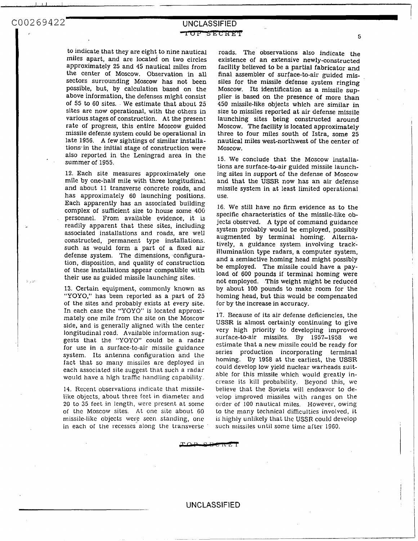I ,. 1

to indicate that they are eight to nine nautical miles apart, and are located on two circles approximately 25 and 45 nautical miles from the center of Moscow. Observation in all sectors surrounding Moscow has not been possible, but, by calculation based on the above information, the defenses might consist of 55 to **60** sites. . We estimate that about 25 sites are now operational, with the others in various stages of construction. At the present rate of progress, this entire Moscow guided missile defense system could be operational in late 1956. A few sightings of similar installations-in the initial stage of construction were also reported in the Leningrad area in the summer of 1955.

12. Each site measures approximately one mile by one-half mile with three longitudinal and about 11 transverse concrete roads, and has approximately 60 launching positions. Each apparently has an associated building complex of sufficient size to house some 400 personnel. From available evidence, it **is**  readily apparent that these sites, including associated installations and roads, are well constructed, permanent type installations. such as would form a part of a fixed air defense system. The dimensions, configuration, disposition, and quality of construction of these installations appear compatible with . .. their use as guided missile launching sites. . ...

> 13. Certain equipment, commonly known **as**  *"YOYO,"* has been reported as a part of 25 of the sites and probably exists at every site. In each case the "YOYO" is located approximately one mile from the site on the Mosco $\mathbf w$ side, and is generally aligned with the center longitudinal road. Available information suggests that the "YOYO" could be a radar for use in a surface-to-air missile guidance system. Its antenna configuration and the fact that so many missiles are deployed in each associated site suggest that such a radar would have a high traffic handling capability.

> 14. Recent observations indicate that missilelike objects, about three feet in diameter and 20 to **35** feet in length, were present at sorne of the Moscow sites. **At** one sitc about 60 missile-like objects wcrc seen standing, one in each of the recesses along the transverse

- **5**  roads. The observations also indicate the existence of an extensive newly-constructed facility believed to be a partial fabricator and final assembler of surface-to-air guided missiles for the missile defense system ringing Moscow. Its identification as a missile **sup**plier is based on the presence of more than 450 missile-like objects which are similar in size to missiles reported at air defense missile launching sites being constructed around Moscow. The facility is located approximately three to four miles south of Istra, some 25 nautical miles west-northwest of the center of Moscow.

I

15. We conclude that the Moscow installations are surface-to-air guided missile launching sites in support of the defense **of** Moscow and that the **USSR** now has an air defense missile system in at least limited operational use.

16. We still have no firm evidence as to the specific characteristics of the missile-like objects observed. A type of command guidance system probably would be employed, possibly augmented by terminal homing. Alternatively, a guidance system involving trackillumination type radars, a computer system, and a semiactive homing head might possibly be employed. The missile could have a payload of 600 pounds if terminal homing were not employed. .This weight might be reduced by about 100 pounds to make room for' the homing head, but this would be compensated for by the increase in accuracy.

17. Because of its air defense deficiencies, the **USSR** is almost certainly continuing to give very high priority to developing improved surface-to-air missiles. By 1957-1958 we estimate that a new missile could be ready for series production incorporating terminal homing. By 1958 at the earliest, the **USSR**  could develop low yield nuclear warheads suitable for this missile which would greatly increase its kill probability. Beyond this, we believe that the Soviets will endeavor to develop improved missiles with ranges on the order of 100 nautical miles. However, owing to the many technical difficulties involved, it is highly unlikely that the **USSR** could develop such missiles until some time after 1960.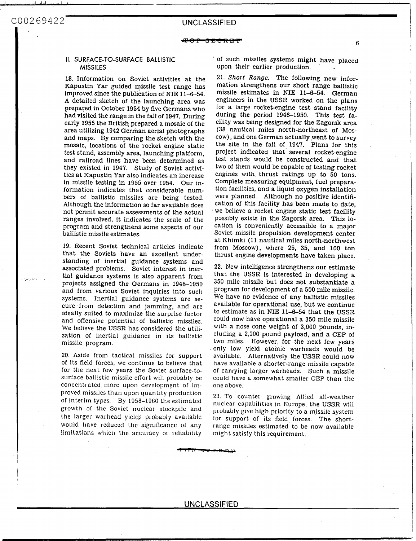$\mathcal{L}^{\mathcal{L}}(\mathcal{U}_{\mathcal{L}},\mathcal{U}_{\mathcal{L}})$ 

I ,,, ,,\*..,,I. I...

#### **It. SURFACE-TO-SURFACE BALLISTIC MISSILES**

18. Information on Soviet activities at the Kapustin Yar guided missile test range has improved since the publication of NJE 11-6-54. **A** detailed sketch of the launching area was prepared in October 1954 by five Germans who had visited the range in the fall of 1947. During early 1955 the British prepared a mosaic of the area utilizing 1942 German aerial photographs and maps. By comparing the sketch with the mosaic, locations of the rocket engine static test stand, assembly area, launching platform, and railroad lines have been determined as they existed in 1947. Study of Soviet activities at Kapustin Yar also indicates an increase in missile testing in 1955 over 1954. Our information indicates that considerable numbers of ballistic missiles are being tested. Although the information so far available does not permit accurate assessments of the actual ranges involved, it indicates the scale of the program and strengthens some aspects of our ballistic missile estimates.

19. Recent Soviet technical articles indicate that the Soviets have an excellent understanding of inertial guidance systems and associated problems. Soviet interest in inertial guidance systems is also apparent from projects assigned the Germans in 1948-1950 and from various' Soviet inquiries into such systems. Inertial guidance systems are secure from detection and jamming, and are ideally suited to maximize the surprise factor and offensive potential of ballistic missiles. We believe the USSR has considered the utilization of inertial guidance in its ballistic missile program.

20. Aside from tactical missiles for support of its field forces, we continue to believe that for the next few years the Soviet surface-tosurface ballistic missile effort will probably be concentrated more upon development of improved missiles than upon quantity production of interim types. By 1958-1960 the estimated growth of the Soviet nuclear stockpile and the larger warhead yields probably available would have reduced the significance of any limitations which the accuracy or reliability

' of such missiles systems might have placed upon their earlier production.

**6** 

21. *Short Range.* The following new information strengthens our short range ballistic missile estimates in NIE **11-6-54;** German engineers in the USSR worked on the plans for a large rocket-engine test stand facility during the period 1946-1950. This test facility was being designed for the Zagorsk area **(38** nautical miles north-northeast of Moscow), and one German actually,went to survey the site in the fall of 1947. Plans for this project indicated that' several rocket-engine test stands would be constructed and that two of them would be capable of testing rocket engines with thrust ratings up **to** 50 tons. Complete measuring equipment, fuel preparation facilities, and a liquid oxygen installation were planned. Although no positive identification of this facility has been made to date, we believe a rocket engine static test facility possibly exists in the Zagorsk area. This location is conveniently accessible to a major Soviet missile propulsion development center at Khimki (11 nautical miles north-northwest from Moscow), where 25, 35, and 100 ton thrust engine developments have taken place.

22. New intelligence strengthens our estimate that the **USSR** is interested in developing a 350 mile missile but does not substantiate a program for development of a 500 mile missile. We have no evidence of any ballistic missiles available for operational use, but we continue to estimate as in NIE 11-6-54 that the **USSR**  could now have operational a 350 mile missile with a nose cone weight of 3,000 pounds, including a 2,000 pound payload, and a **CEP** of two miles. However, for the next few years only low yield atomic warheads would be available. Alternatively the USSR could now have available a shorter-range missile capable of carrying larger warheads. Such **a** missile could have a somewhat smaller CEP than the one above.

23. To counter growing Allied all-weather nuclear capabilities in Europe, the USSR will probably give high priority to **a** missile system for support of its field forces. The shortrange missiles estimated to be now available might satisfy this requirement.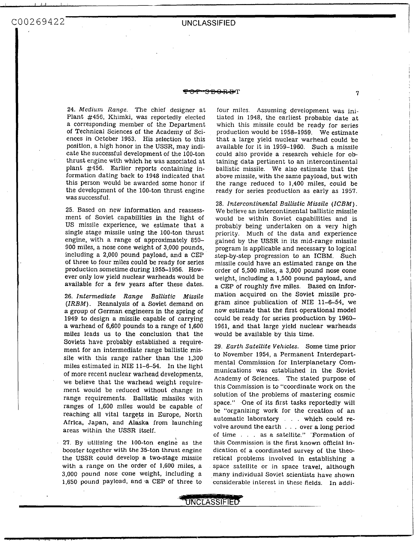C00269422

### **UNCLASSIFIED**

### en de la propie de la propie de la propie de la propie de la propie de la propie de la propie de la propie de <br>En la propie de la propie de la propie de la propie de la propie de la propie de la propie de la propie de la

24. *Medium Range.* The chief designer at Plant #456, Khimki, was reportedly elected a corresponding member of the Department of Technical Sciences of the Academy of Sciences in October 1953. His selection to this position, a high honor in the **USSR,** may indicate the successful development of the 100-ton thrust engine with which he was associated at plant #456. Earlier reports containing information dating back to 1948 indicated that this person would be awarded some honor if the development of the 100-ton thrust engine was successful.

25. Based on new information and reassessment of Soviet capabilities in the light of US missile experience, we estimate that a single stage missile using the 100-ton thrust engine, with *a* range of approximately 850- 900 miles, a nose cone weight of 3,000 pounds, including a 2,000 pound payload, and a CEP of three to four miles could be ready for series production sometime during 1955-1956. However only low yield nuclear warheads would be available for a few years after these dates.

26. *Intermediate Range Ballistic Missile (ZRBM).* Reanalysis of a Soviet demand on a group of German engineers in the spring of 1949 to design a missile capable of carrying a warhead of 6,600 pounds to a range of 1,600 miles leads us to the conclusion that the Soviets have probably established a requirement for an intermediate range ballistic missile with this range rather than the 1,300 miles estimated in NIE 11-6-54. In the light of more recent nuclear warhead developments, we believe that the warhead weight requirement would be reduced without change in range requirements. Ballistic missiles with ranges of 1,600 miles would be capable of reaching all vital targets in Europe, North Africa, Japan, and Alaska from launching areas within the **USSR** itself.

27. By utilizing the 100-ton englne as the booster together with the 35-ton thrust engine the **USSR** could develop a two-stage missile with a range on the order of 1,600 miles, a 3,000 pound nose cone weight, including a 1,650 pound payload, and -a CEP of three to

four miles. Assuming development was initiated in 1948, the earliest probable date at which this missile could be ready for series production would be 1958-1959. We estimate that a large yield nuclear warhead could be available for it in 1959-1960. Such a missile could also provide a research vehicle for obtaining data pertinent to an intercontinental ballistic missile. We also estimate that the above missile, with the same payload, but with the range reduced to 1,400 miles, could be ready for series production as early **as** 1957.

28. *Intercontinental Ballistic Missile (ICBM).*  We believe an intercontinental ballistic missile would be within Soviet capabilities and is probably being undertaken on a very high priority. Much of the data and experience gained by the **USSR** in its mid-range missile program is applicable and necessary to logical step-by-step progression to an ICBM. Such missile could have an estimated range on the order of 5,500 miles, a 3,000 pound nose cone weight, including a 1,500 pound payload, and a CEP of roughly five miles. Based on information acquired on the Soviet missile program since publication of NIE 11-6-54, we now estimate that the first operational model could be ready for series production by 1960- 1961, and that large yield nuclear warheads would be available by this time.

29. *Earth Satellite Vehicles.* Some time prior to November 1954, a Permanent Interdepartmental Commission for Interplanetary Communications was established in the Soviet Academy of Sciences. The stated purpose of this Commission is to "coordinate work on the solution of the problems of mastering cosmic space." One of its first tasks reportedly will be "organizing work for the creation of an automatic laboratory . . . which could revolve around the earth . . . over **a** long period of time . . . as a satellite." 'Formation of this Commission is the first known offlclal Indication of **a** coordinated survey of the theoretical problems involved in establishing a space satellite or in space travel, although many individual Soviet scientists have shown considerable interest in these fields. In addi-